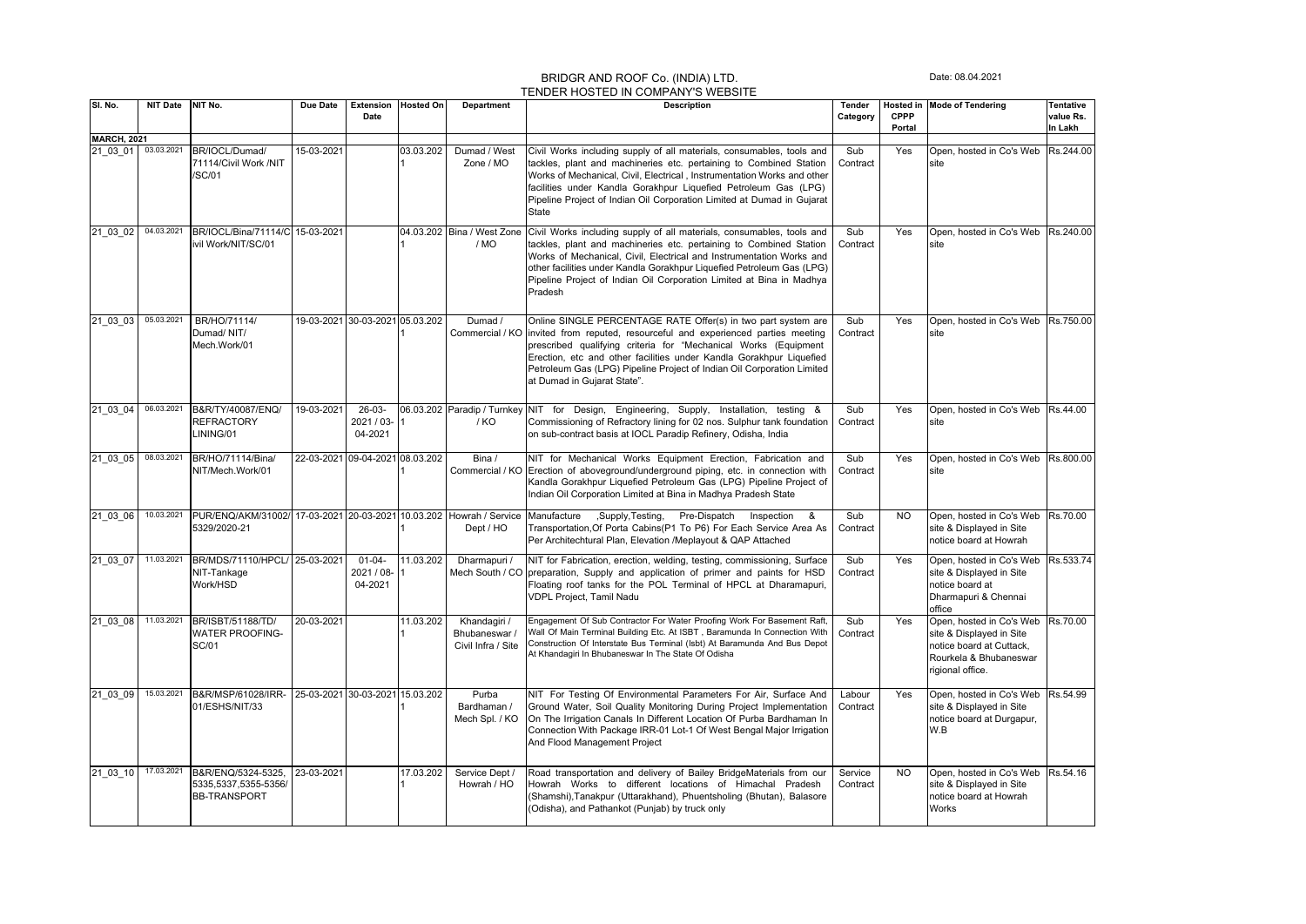## BRIDGR AND ROOF Co. (INDIA) LTD. TENDER HOSTED IN COMPANY'S WEBSITE

Date: 08.04.2021

|                     |                 |                                                                    |                                 |                                      |                  |                                                     | <u>I ENDER HOSTED IN COMPANY S WEBSITE</u>                                                                                                                                                                                                                                                                                                                                            |                     |                       |                                                                                                                                |                                   |
|---------------------|-----------------|--------------------------------------------------------------------|---------------------------------|--------------------------------------|------------------|-----------------------------------------------------|---------------------------------------------------------------------------------------------------------------------------------------------------------------------------------------------------------------------------------------------------------------------------------------------------------------------------------------------------------------------------------------|---------------------|-----------------------|--------------------------------------------------------------------------------------------------------------------------------|-----------------------------------|
| SI. No.             | <b>NIT Date</b> | NIT No.                                                            | Due Date                        | Extension<br>Date                    | <b>Hosted On</b> | <b>Department</b>                                   | <b>Description</b>                                                                                                                                                                                                                                                                                                                                                                    | Tender<br>Category  | <b>CPPP</b><br>Portal | Hosted in Mode of Tendering                                                                                                    | Tentative<br>value Rs.<br>In Lakh |
| <b>MARCH, 2021</b>  |                 |                                                                    |                                 |                                      |                  |                                                     |                                                                                                                                                                                                                                                                                                                                                                                       |                     |                       |                                                                                                                                |                                   |
| 21 03 01 03.03.2021 |                 | BR/IOCL/Dumad/<br>71114/Civil Work /NIT<br>/SC/01                  | 15-03-2021                      |                                      | 03.03.202        | Dumad / West<br>Zone / MO                           | Civil Works including supply of all materials, consumables, tools and<br>tackles, plant and machineries etc. pertaining to Combined Station<br>Works of Mechanical, Civil, Electrical, Instrumentation Works and other<br>facilities under Kandla Gorakhpur Liquefied Petroleum Gas (LPG)<br>Pipeline Project of Indian Oil Corporation Limited at Dumad in Gujarat<br>State          | Sub<br>Contract     | Yes                   | Open, hosted in Co's Web Rs.244.00<br>site                                                                                     |                                   |
| 21 03 02            | 04.03.2021      | BR/IOCL/Bina/71114/C 15-03-2021<br>ivil Work/NIT/SC/01             |                                 |                                      | 04.03.202        | Bina / West Zone<br>/ MO                            | Civil Works including supply of all materials, consumables, tools and<br>tackles, plant and machineries etc. pertaining to Combined Station<br>Works of Mechanical, Civil, Electrical and Instrumentation Works and<br>other facilities under Kandla Gorakhpur Liquefied Petroleum Gas (LPG)<br>Pipeline Project of Indian Oil Corporation Limited at Bina in Madhya<br>Pradesh       | Sub<br>Contract     | Yes                   | Open, hosted in Co's Web<br>site                                                                                               | Rs.240.00                         |
| 21 03 03            | 05.03.2021      | BR/HO/71114/<br>Dumad/NIT/<br>Mech.Work/01                         |                                 | 19-03-2021 30-03-2021 05.03.202      |                  | Dumad /<br>Commercial / KO                          | Online SINGLE PERCENTAGE RATE Offer(s) in two part system are<br>invited from reputed, resourceful and experienced parties meeting<br>prescribed qualifying criteria for "Mechanical Works (Equipment<br>Erection, etc and other facilities under Kandla Gorakhpur Liquefied<br>Petroleum Gas (LPG) Pipeline Project of Indian Oil Corporation Limited<br>at Dumad in Gujarat State". | Sub<br>Contract     | Yes                   | Open, hosted in Co's Web<br>site                                                                                               | Rs.750.00                         |
| 21 03 04            | 06.03.2021      | B&R/TY/40087/ENQ/<br><b>REFRACTORY</b><br>LINING/01                | 19-03-2021                      | $26-03-$<br>2021 / 03-<br>04-2021    |                  | / KO                                                | 06.03.202 Paradip / Turnkey NIT for Design, Engineering, Supply, Installation, testing &<br>Commissioning of Refractory lining for 02 nos. Sulphur tank foundation<br>on sub-contract basis at IOCL Paradip Refinery, Odisha, India                                                                                                                                                   | Sub<br>Contract     | Yes                   | Open, hosted in Co's Web Rs.44.00<br>site                                                                                      |                                   |
| 21 03 05            | 08.03.2021      | BR/HO/71114/Bina/<br>NIT/Mech.Work/01                              | 22-03-2021                      | 09-04-2021 08.03.202                 |                  | Bina /<br>Commercial / KO                           | NIT for Mechanical Works Equipment Erection, Fabrication and<br>Erection of aboveground/underground piping, etc. in connection with<br>Kandla Gorakhpur Liquefied Petroleum Gas (LPG) Pipeline Project of<br>Indian Oil Corporation Limited at Bina in Madhya Pradesh State                                                                                                           | Sub<br>Contract     | Yes                   | Open, hosted in Co's Web<br>site                                                                                               | Rs.800.00                         |
| 21 03 06            | 10.03.2021      | PUR/ENQ/AKM/31002/ 17-03-2021 20-03-2021 10.03.202<br>5329/2020-21 |                                 |                                      |                  | Howrah / Service<br>Dept / HO                       | Manufacture , Supply, Testing,<br>Pre-Dispatch<br>Inspection<br>&<br>Transportation, Of Porta Cabins (P1 To P6) For Each Service Area As<br>Per Architechtural Plan, Elevation /Meplayout & QAP Attached                                                                                                                                                                              | Sub<br>Contract     | <b>NO</b>             | Open, hosted in Co's Web<br>site & Displayed in Site<br>notice board at Howrah                                                 | Rs.70.00                          |
| 21 03 07            | 11.03.2021      | BR/MDS/71110/HPCL/ 25-03-2021<br>NIT-Tankage<br>Work/HSD           |                                 | $01 - 04 -$<br>2021 / 08-<br>04-2021 | 11.03.202        | Dharmapuri /<br>Mech South / CO                     | NIT for Fabrication, erection, welding, testing, commissioning, Surface<br>preparation, Supply and application of primer and paints for HSD<br>Floating roof tanks for the POL Terminal of HPCL at Dharamapuri,<br><b>VDPL Project, Tamil Nadu</b>                                                                                                                                    | Sub<br>Contract     | Yes                   | Open, hosted in Co's Web<br>site & Displayed in Site<br>notice board at<br>Dharmapuri & Chennai<br>office                      | Rs.533.74                         |
| 21 03 08            | 11.03.2021      | BR/ISBT/51188/TD/<br><b>WATER PROOFING-</b><br>SC/01               | 20-03-2021                      |                                      | 11.03.202        | Khandagiri /<br>Bhubaneswar /<br>Civil Infra / Site | Engagement Of Sub Contractor For Water Proofing Work For Basement Raft,<br>Wall Of Main Terminal Building Etc. At ISBT, Baramunda In Connection With<br>Construction Of Interstate Bus Terminal (Isbt) At Baramunda And Bus Depot<br>At Khandagiri In Bhubaneswar In The State Of Odisha                                                                                              | Sub<br>Contract     | Yes                   | Open, hosted in Co's Web<br>site & Displayed in Site<br>notice board at Cuttack,<br>Rourkela & Bhubaneswar<br>rigional office. | Rs.70.00                          |
| 21 03 09            | 15.03.2021      | B&R/MSP/61028/IRR-<br>01/ESHS/NIT/33                               | 25-03-2021 30-03-2021 15.03.202 |                                      |                  | Purba<br>Bardhaman /<br>Mech Spl. / KO              | NIT For Testing Of Environmental Parameters For Air, Surface And<br>Ground Water, Soil Quality Monitoring During Project Implementation<br>On The Irrigation Canals In Different Location Of Purba Bardhaman In<br>Connection With Package IRR-01 Lot-1 Of West Bengal Major Irrigation<br>And Flood Management Project                                                               | Labour<br>Contract  | Yes                   | Open, hosted in Co's Web<br>site & Displayed in Site<br>notice board at Durgapur,<br>W.B                                       | Rs.54.99                          |
| 21 03 10            | 17.03.2021      | B&R/ENQ/5324-5325,<br>5335,5337,5355-5356/<br><b>BB-TRANSPORT</b>  | 23-03-2021                      |                                      | 17.03.202        | Service Dept /<br>Howrah / HO                       | Road transportation and delivery of Bailey BridgeMaterials from our<br>Howrah Works to different locations of Himachal Pradesh<br>(Shamshi),Tanakpur (Uttarakhand), Phuentsholing (Bhutan), Balasore<br>(Odisha), and Pathankot (Punjab) by truck only                                                                                                                                | Service<br>Contract | <b>NO</b>             | Open, hosted in Co's Web Rs.54.16<br>site & Displayed in Site<br>notice board at Howrah<br>Works                               |                                   |